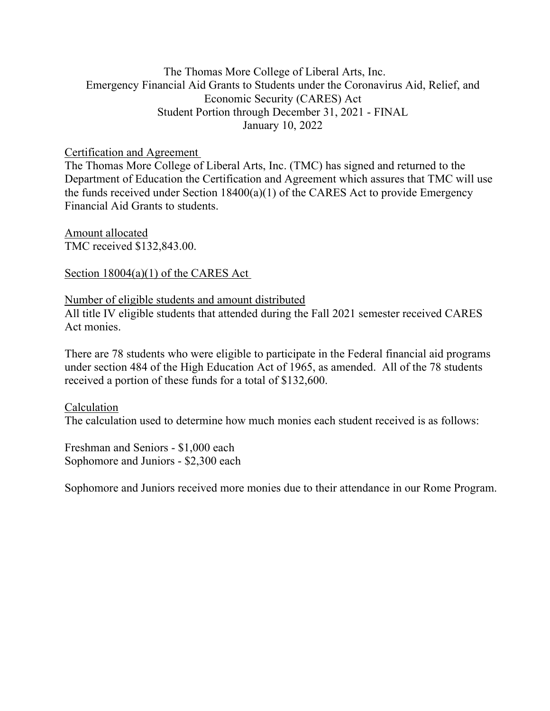# The Thomas More College of Liberal Arts, Inc. Emergency Financial Aid Grants to Students under the Coronavirus Aid, Relief, and Economic Security (CARES) Act Student Portion through December 31, 2021 - FINAL January 10, 2022

### Certification and Agreement

The Thomas More College of Liberal Arts, Inc. (TMC) has signed and returned to the Department of Education the Certification and Agreement which assures that TMC will use the funds received under Section 18400(a)(1) of the CARES Act to provide Emergency Financial Aid Grants to students.

Amount allocated TMC received \$132,843.00.

### Section 18004(a)(1) of the CARES Act

### Number of eligible students and amount distributed

All title IV eligible students that attended during the Fall 2021 semester received CARES Act monies.

There are 78 students who were eligible to participate in the Federal financial aid programs under section 484 of the High Education Act of 1965, as amended. All of the 78 students received a portion of these funds for a total of \$132,600.

Calculation The calculation used to determine how much monies each student received is as follows:

Freshman and Seniors - \$1,000 each Sophomore and Juniors - \$2,300 each

Sophomore and Juniors received more monies due to their attendance in our Rome Program.